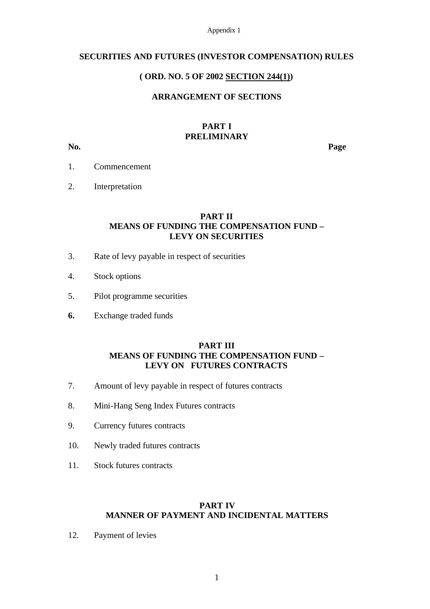Appendix 1

#### **SECURITIES AND FUTURES (INVESTOR COMPENSATION) RULES**

### **( ORD. NO. 5 OF 2002 SECTION 244(1))**

## **ARRANGEMENT OF SECTIONS**

#### **PART I PRELIMINARY**

**No. Page**

- 1. Commencement
- 2. Interpretation

## **PART II MEANS OF FUNDING THE COMPENSATION FUND – LEVY ON SECURITIES**

- 3. Rate of levy payable in respect of securities
- 4. Stock options
- 5. Pilot programme securities
- **6.** Exchange traded funds

### **PART III MEANS OF FUNDING THE COMPENSATION FUND – LEVY ON FUTURES CONTRACTS**

- 7. Amount of levy payable in respect of futures contracts
- 8. Mini-Hang Seng Index Futures contracts
- 9. Currency futures contracts
- 10. Newly traded futures contracts
- 11. Stock futures contracts

# **PART IV MANNER OF PAYMENT AND INCIDENTAL MATTERS**

12. Payment of levies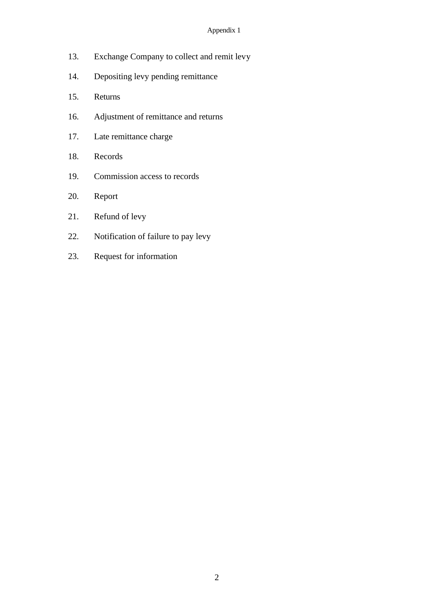#### Appendix 1

- 13. Exchange Company to collect and remit levy
- 14. Depositing levy pending remittance
- 15. Returns
- 16. Adjustment of remittance and returns
- 17. Late remittance charge
- 18. Records
- 19. Commission access to records
- 20. Report
- 21. Refund of levy
- 22. Notification of failure to pay levy
- 23. Request for information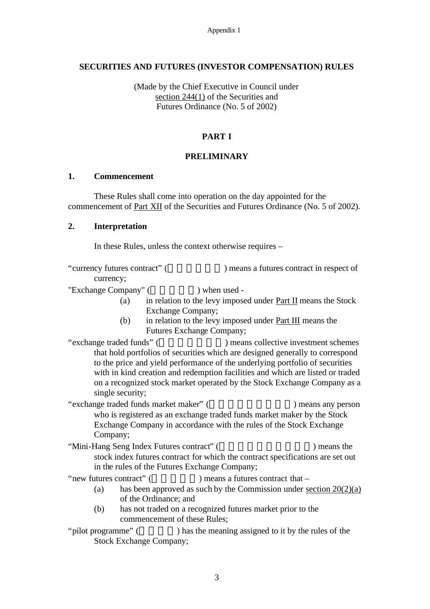Appendix 1

### **SECURITIES AND FUTURES (INVESTOR COMPENSATION) RULES**

(Made by the Chief Executive in Council under section 244(1) of the Securities and Futures Ordinance (No. 5 of 2002)

# **PART I**

### **PRELIMINARY**

#### **1. Commencement**

These Rules shall come into operation on the day appointed for the commencement of Part XII of the Securities and Futures Ordinance (No. 5 of 2002).

#### **2. Interpretation**

In these Rules, unless the context otherwise requires –

"currency futures contract" (  $\qquad \qquad$ ) means a futures contract in respect of currency;

"Exchange Company" (
) when used -

- (a) in relation to the levy imposed under Part II means the Stock Exchange Company;
- (b) in relation to the levy imposed under Part III means the Futures Exchange Company;
- "exchange traded funds" (  $\qquad \qquad$ ) means collective investment schemes that hold portfolios of securities which are designed generally to correspond to the price and yield performance of the underlying portfolio of securities with in kind creation and redemption facilities and which are listed or traded on a recognized stock market operated by the Stock Exchange Company as a single security;

"exchange traded funds market maker" (  $\qquad \qquad$ ) means any person who is registered as an exchange traded funds market maker by the Stock Exchange Company in accordance with the rules of the Stock Exchange Company;

"Mini-Hang Seng Index Futures contract" (  $\blacksquare$ ) means the stock index futures contract for which the contract specifications are set out in the rules of the Futures Exchange Company;

"new futures contract" (The same of the second in the second of the second of the second of  $\sim$ 

- (a) has been approved as such by the Commission under section  $20(2)(a)$ of the Ordinance; and
- (b) has not traded on a recognized futures market prior to the commencement of these Rules;
- "pilot programme" () has the meaning assigned to it by the rules of the Stock Exchange Company;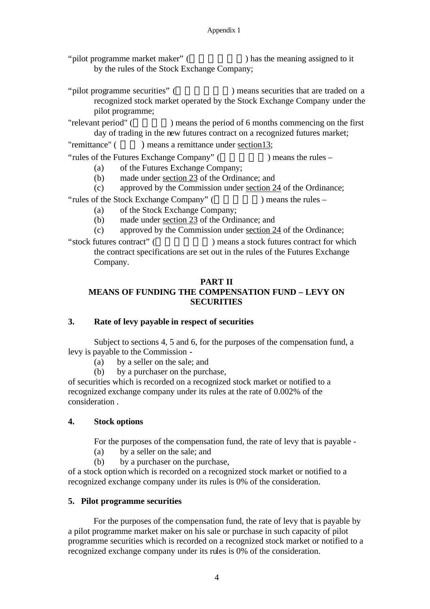"pilot programme market maker" (
) has the meaning assigned to it by the rules of the Stock Exchange Company;

"pilot programme securities" (  $\qquad \qquad$ ) means securities that are traded on a recognized stock market operated by the Stock Exchange Company under the pilot programme;

"relevant period" () means the period of 6 months commencing on the first day of trading in the new futures contract on a recognized futures market;

"remittance" ( ) means a remittance under section13;

"rules of the Futures Exchange Company"  $($ ) means the rules –

(a) of the Futures Exchange Company;

(b) made under section 23 of the Ordinance; and

(c) approved by the Commission under section 24 of the Ordinance;

"rules of the Stock Exchange Company"  $($   $)$  means the rules –

(a) of the Stock Exchange Company;

(b) made under section 23 of the Ordinance; and

(c) approved by the Commission under section 24 of the Ordinance;

"stock futures contract" (  $\qquad \qquad$ ) means a stock futures contract for which the contract specifications are set out in the rules of the Futures Exchange Company.

# **PART II**

# **MEANS OF FUNDING THE COMPENSATION FUND – LEVY ON SECURITIES**

# **3. Rate of levy payable in respect of securities**

Subject to sections 4, 5 and 6, for the purposes of the compensation fund, a levy is payable to the Commission -

(a) by a seller on the sale; and

(b) by a purchaser on the purchase,

of securities which is recorded on a recognized stock market or notified to a recognized exchange company under its rules at the rate of 0.002% of the consideration .

# **4. Stock options**

For the purposes of the compensation fund, the rate of levy that is payable -

(a) by a seller on the sale; and

(b) by a purchaser on the purchase,

of a stock option which is recorded on a recognized stock market or notified to a recognized exchange company under its rules is 0% of the consideration.

# **5. Pilot programme securities**

For the purposes of the compensation fund, the rate of levy that is payable by a pilot programme market maker on his sale or purchase in such capacity of pilot programme securities which is recorded on a recognized stock market or notified to a recognized exchange company under its rules is 0% of the consideration.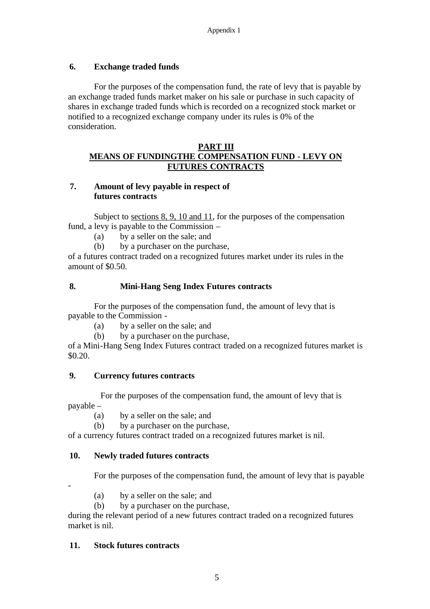# **6. Exchange traded funds**

For the purposes of the compensation fund, the rate of levy that is payable by an exchange traded funds market maker on his sale or purchase in such capacity of shares in exchange traded funds which is recorded on a recognized stock market or notified to a recognized exchange company under its rules is 0% of the consideration.

### **PART III**

# **MEANS OF FUNDINGTHE COMPENSATION FUND - LEVY ON FUTURES CONTRACTS**

# **7. Amount of levy payable in respect of futures contracts**

Subject to sections 8, 9, 10 and 11, for the purposes of the compensation fund, a levy is payable to the Commission –

- (a) by a seller on the sale; and
- (b) by a purchaser on the purchase,

of a futures contract traded on a recognized futures market under its rules in the amount of \$0.50.

### **8. Mini-Hang Seng Index Futures contracts**

For the purposes of the compensation fund, the amount of levy that is payable to the Commission -

(a) by a seller on the sale; and

(b) by a purchaser on the purchase,

of a Mini-Hang Seng Index Futures contract traded on a recognized futures market is \$0.20.

### **9. Currency futures contracts**

For the purposes of the compensation fund, the amount of levy that is payable –

(a) by a seller on the sale; and

(b) by a purchaser on the purchase,

of a currency futures contract traded on a recognized futures market is nil.

### **10. Newly traded futures contracts**

For the purposes of the compensation fund, the amount of levy that is payable

-

- (a) by a seller on the sale; and
- (b) by a purchaser on the purchase,

during the relevant period of a new futures contract traded on a recognized futures market is nil.

### **11. Stock futures contracts**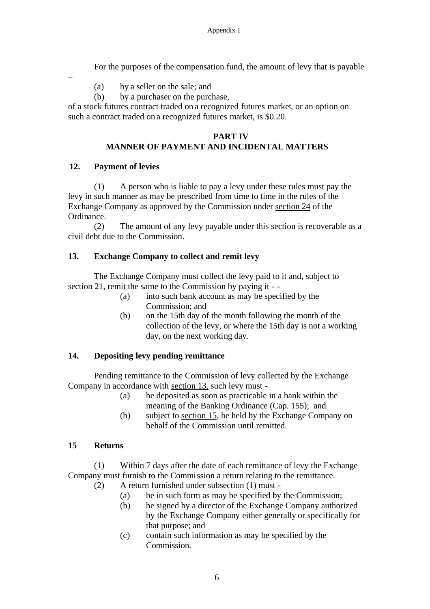For the purposes of the compensation fund, the amount of levy that is payable

- (a) by a seller on the sale; and
- (b) by a purchaser on the purchase,

of a stock futures contract traded on a recognized futures market, or an option on such a contract traded on a recognized futures market, is \$0.20.

### **PART IV MANNER OF PAYMENT AND INCIDENTAL MATTERS**

### **12. Payment of levies**

–

(1) A person who is liable to pay a levy under these rules must pay the levy in such manner as may be prescribed from time to time in the rules of the Exchange Company as approved by the Commission under section 24 of the Ordinance.

(2) The amount of any levy payable under this section is recoverable as a civil debt due to the Commission.

# **13. Exchange Company to collect and remit levy**

The Exchange Company must collect the levy paid to it and, subject to section 21, remit the same to the Commission by paying it - -

- (a) into such bank account as may be specified by the Commission; and
- (b) on the 15th day of the month following the month of the collection of the levy, or where the 15th day is not a working day, on the next working day.

#### **14. Depositing levy pending remittance**

Pending remittance to the Commission of levy collected by the Exchange Company in accordance with section 13, such levy must -

- (a) be deposited as soon as practicable in a bank within the meaning of the Banking Ordinance (Cap. 155); and
- (b) subject to section 15, be held by the Exchange Company on behalf of the Commission until remitted.

#### **15 Returns**

(1) Within 7 days after the date of each remittance of levy the Exchange Company must furnish to the Commission a return relating to the remittance.

- (2) A return furnished under subsection (1) must
	- (a) be in such form as may be specified by the Commission;
	- (b) be signed by a director of the Exchange Company authorized by the Exchange Company either generally or specifically for that purpose; and
	- (c) contain such information as may be specified by the Commission.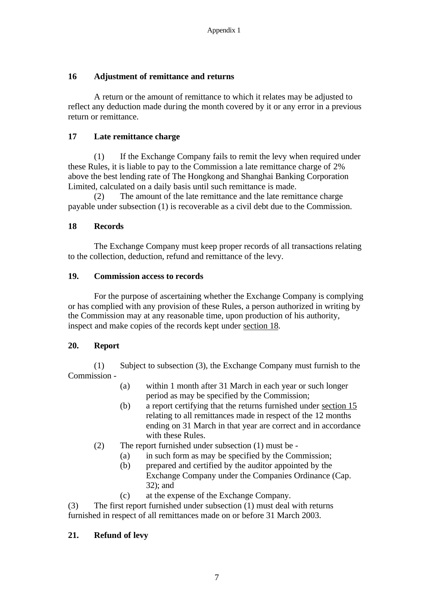## **16 Adjustment of remittance and returns**

A return or the amount of remittance to which it relates may be adjusted to reflect any deduction made during the month covered by it or any error in a previous return or remittance.

## **17 Late remittance charge**

(1) If the Exchange Company fails to remit the levy when required under these Rules, it is liable to pay to the Commission a late remittance charge of 2% above the best lending rate of The Hongkong and Shanghai Banking Corporation Limited, calculated on a daily basis until such remittance is made.

(2) The amount of the late remittance and the late remittance charge payable under subsection (1) is recoverable as a civil debt due to the Commission.

### **18 Records**

The Exchange Company must keep proper records of all transactions relating to the collection, deduction, refund and remittance of the levy.

#### **19. Commission access to records**

For the purpose of ascertaining whether the Exchange Company is complying or has complied with any provision of these Rules, a person authorized in writing by the Commission may at any reasonable time, upon production of his authority, inspect and make copies of the records kept under section 18.

#### **20. Report**

(1) Subject to subsection (3), the Exchange Company must furnish to the Commission -

- (a) within 1 month after 31 March in each year or such longer period as may be specified by the Commission;
- (b) a report certifying that the returns furnished under section 15 relating to all remittances made in respect of the 12 months ending on 31 March in that year are correct and in accordance with these Rules.
- (2) The report furnished under subsection (1) must be
	- (a) in such form as may be specified by the Commission;
	- (b) prepared and certified by the auditor appointed by the Exchange Company under the Companies Ordinance (Cap. 32); and
	- (c) at the expense of the Exchange Company.

(3) The first report furnished under subsection (1) must deal with returns furnished in respect of all remittances made on or before 31 March 2003.

# **21. Refund of levy**